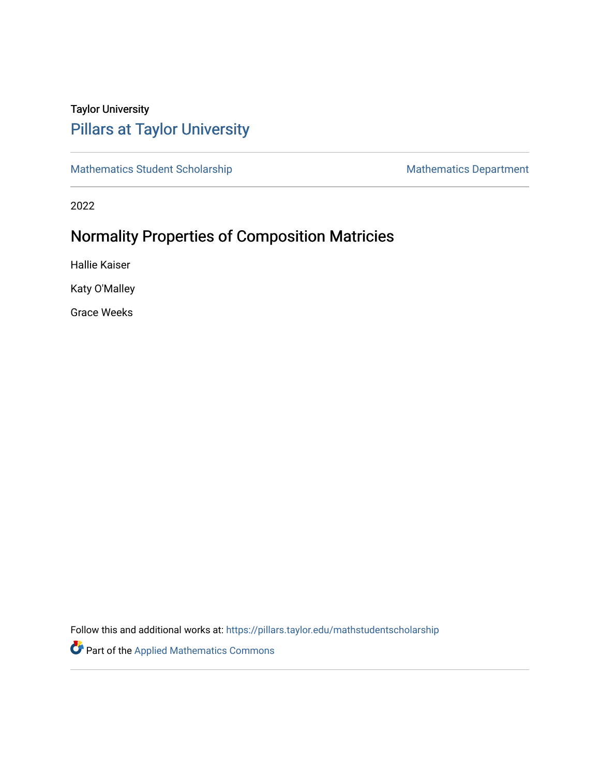# Taylor University [Pillars at Taylor University](https://pillars.taylor.edu/)

[Mathematics Student Scholarship](https://pillars.taylor.edu/mathstudentscholarship) Mathematics Department

2022

# Normality Properties of Composition Matricies

Hallie Kaiser

Katy O'Malley

Grace Weeks

Follow this and additional works at: [https://pillars.taylor.edu/mathstudentscholarship](https://pillars.taylor.edu/mathstudentscholarship?utm_source=pillars.taylor.edu%2Fmathstudentscholarship%2F3&utm_medium=PDF&utm_campaign=PDFCoverPages)

Part of the [Applied Mathematics Commons](http://network.bepress.com/hgg/discipline/115?utm_source=pillars.taylor.edu%2Fmathstudentscholarship%2F3&utm_medium=PDF&utm_campaign=PDFCoverPages)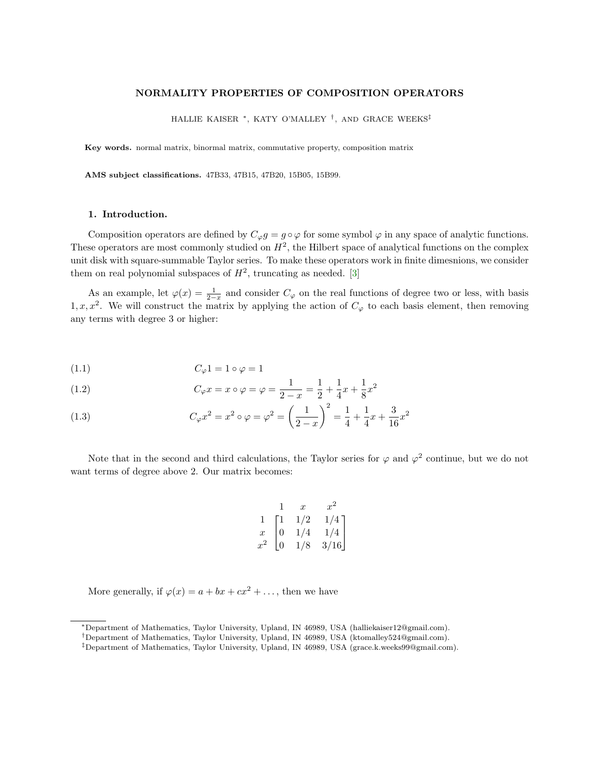### NORMALITY PROPERTIES OF COMPOSITION OPERATORS

HALLIE KAISER <sup>∗</sup>, KATY O'MALLEY † , AND GRACE WEEKS‡

Key words. normal matrix, binormal matrix, commutative property, composition matrix

AMS subject classifications. 47B33, 47B15, 47B20, 15B05, 15B99.

### 1. Introduction.

Composition operators are defined by  $C_{\varphi}g = g \circ \varphi$  for some symbol  $\varphi$  in any space of analytic functions. These operators are most commonly studied on  $H^2$ , the Hilbert space of analytical functions on the complex unit disk with square-summable Taylor series. To make these operators work in finite dimesnions, we consider them on real polynomial subspaces of  $H^2$ , truncating as needed. [\[3\]](#page-25-0)

As an example, let  $\varphi(x) = \frac{1}{2-x}$  and consider  $C_{\varphi}$  on the real functions of degree two or less, with basis 1, x, x<sup>2</sup>. We will construct the matrix by applying the action of  $C_{\varphi}$  to each basis element, then removing any terms with degree 3 or higher:

$$
(1.1) \tC_{\varphi} 1 = 1 \circ \varphi = 1
$$

(1.2) 
$$
C_{\varphi}x = x \circ \varphi = \varphi = \frac{1}{2-x} = \frac{1}{2} + \frac{1}{4}x + \frac{1}{8}x^2
$$

(1.3) 
$$
C_{\varphi}x^2 = x^2 \circ \varphi = \varphi^2 = \left(\frac{1}{2-x}\right)^2 = \frac{1}{4} + \frac{1}{4}x + \frac{3}{16}x^2
$$

Note that in the second and third calculations, the Taylor series for  $\varphi$  and  $\varphi^2$  continue, but we do not want terms of degree above 2. Our matrix becomes:

$$
\begin{array}{ccc}\n & 1 & x & x^2 \\
1 & 1 & 1/2 & 1/4 \\
x & 0 & 1/4 & 1/4 \\
x^2 & 0 & 1/8 & 3/16\n\end{array}
$$

More generally, if  $\varphi(x) = a + bx + cx^2 + \dots$ , then we have

<sup>∗</sup>Department of Mathematics, Taylor University, Upland, IN 46989, USA (halliekaiser12@gmail.com).

<sup>†</sup>Department of Mathematics, Taylor University, Upland, IN 46989, USA (ktomalley524@gmail.com).

<sup>‡</sup>Department of Mathematics, Taylor University, Upland, IN 46989, USA (grace.k.weeks99@gmail.com).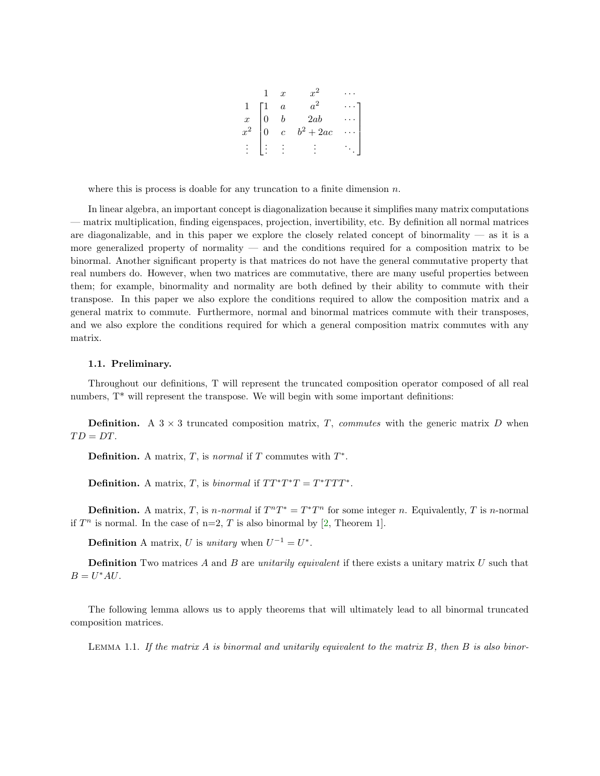|  | $\boldsymbol{x}$ |                  |  |
|--|------------------|------------------|--|
|  | $\boldsymbol{a}$ |                  |  |
|  |                  | 2ab              |  |
|  | $\overline{c}$   | $b^2$<br>$+ 2ac$ |  |
|  |                  |                  |  |

where this is process is doable for any truncation to a finite dimension  $n$ .

In linear algebra, an important concept is diagonalization because it simplifies many matrix computations — matrix multiplication, finding eigenspaces, projection, invertibility, etc. By definition all normal matrices are diagonalizable, and in this paper we explore the closely related concept of binormality  $\overline{ }$  as it is a more generalized property of normality — and the conditions required for a composition matrix to be binormal. Another significant property is that matrices do not have the general commutative property that real numbers do. However, when two matrices are commutative, there are many useful properties between them; for example, binormality and normality are both defined by their ability to commute with their transpose. In this paper we also explore the conditions required to allow the composition matrix and a general matrix to commute. Furthermore, normal and binormal matrices commute with their transposes, and we also explore the conditions required for which a general composition matrix commutes with any matrix.

### 1.1. Preliminary.

Throughout our definitions, T will represent the truncated composition operator composed of all real numbers,  $T^*$  will represent the transpose. We will begin with some important definitions:

**Definition.** A  $3 \times 3$  truncated composition matrix, T, commutes with the generic matrix D when  $TD = DT$ .

**Definition.** A matrix, T, is *normal* if T commutes with  $T^*$ .

**Definition.** A matrix, T, is *binormal* if  $TT^*T^*T = T^*TTT^*$ .

**Definition.** A matrix, T, is *n*-normal if  $T^nT^* = T^*T^n$  for some integer *n*. Equivalently, T is *n*-normal if  $T^n$  is normal. In the case of n=2, T is also binormal by [\[2,](#page-25-1) Theorem 1].

**Definition** A matrix, U is unitary when  $U^{-1} = U^*$ .

**Definition** Two matrices A and B are unitarily equivalent if there exists a unitary matrix U such that  $B = U^*AU$ .

The following lemma allows us to apply theorems that will ultimately lead to all binormal truncated composition matrices.

<span id="page-2-0"></span>LEMMA 1.1. If the matrix  $A$  is binormal and unitarily equivalent to the matrix  $B$ , then  $B$  is also binor-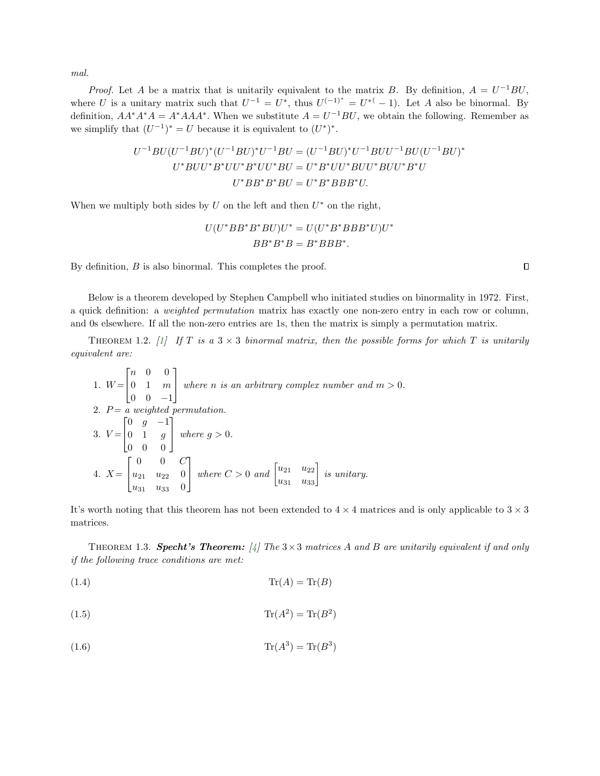$mal.$ 

*Proof.* Let A be a matrix that is unitarily equivalent to the matrix B. By definition,  $A = U^{-1}BU$ , where U is a unitary matrix such that  $U^{-1} = U^*$ , thus  $U^{(-1)^*} = U^{*(-1)}$ . Let A also be binormal. By definition,  $AA^*A^*A = A^*AAA^*$ . When we substitute  $A = U^{-1}BU$ , we obtain the following. Remember as we simplify that  $(U^{-1})^* = U$  because it is equivalent to  $(U^*)^*$ .

$$
U^{-1}BU(U^{-1}BU)^*(U^{-1}BU)^*U^{-1}BU = (U^{-1}BU)^*U^{-1}BUU^{-1}BU(U^{-1}BU)^*
$$
  

$$
U^*BUU^*B^*UU^*BU = U^*B^*UU^*BUU^*BUU^*B^*U
$$
  

$$
U^*BB^*B^*BU = U^*B^*BBB^*U.
$$

When we multiply both sides by  $U$  on the left and then  $U^*$  on the right,

$$
U(U^*BB^*B^*BU)U^* = U(U^*B^*BBB^*U)U^*
$$

$$
BB^*B^*B = B^*BBB^*.
$$

By definition, B is also binormal. This completes the proof.

Below is a theorem developed by Stephen Campbell who initiated studies on binormality in 1972. First, a quick definition: a weighted permutation matrix has exactly one non-zero entry in each row or column, and 0s elsewhere. If all the non-zero entries are 1s, then the matrix is simply a permutation matrix.

<span id="page-3-0"></span>THEOREM 1.2. [\[1\]](#page-25-2) If T is a  $3 \times 3$  binormal matrix, then the possible forms for which T is unitarily equivalent are:

1. 
$$
W = \begin{bmatrix} n & 0 & 0 \\ 0 & 1 & m \\ 0 & 0 & -1 \end{bmatrix}
$$
 where *n* is an arbitrary complex number and *m* > 0.  
\n2.  $P = a$  weighted permutation.  
\n3.  $V = \begin{bmatrix} 0 & g & -1 \\ 0 & 1 & g \\ 0 & 0 & 0 \end{bmatrix}$  where  $g > 0$ .  
\n4.  $X = \begin{bmatrix} 0 & 0 & C \\ u_{21} & u_{22} & 0 \\ u_{31} & u_{33} & 0 \end{bmatrix}$  where  $C > 0$  and  $\begin{bmatrix} u_{21} & u_{22} \\ u_{31} & u_{33} \end{bmatrix}$  is unitary.

It's worth noting that this theorem has not been extended to  $4 \times 4$  matrices and is only applicable to  $3 \times 3$ matrices.

<span id="page-3-1"></span>THEOREM 1.3. Specht's Theorem:  $\frac{1}{4}$  The 3 × 3 matrices A and B are unitarily equivalent if and only if the following trace conditions are met:

<span id="page-3-2"></span>
$$
Tr(A) = Tr(B)
$$

<span id="page-3-3"></span>
$$
Tr(A^2) = Tr(B^2)
$$

<span id="page-3-4"></span>
$$
Tr(A^3) = Tr(B^3)
$$

 $\Box$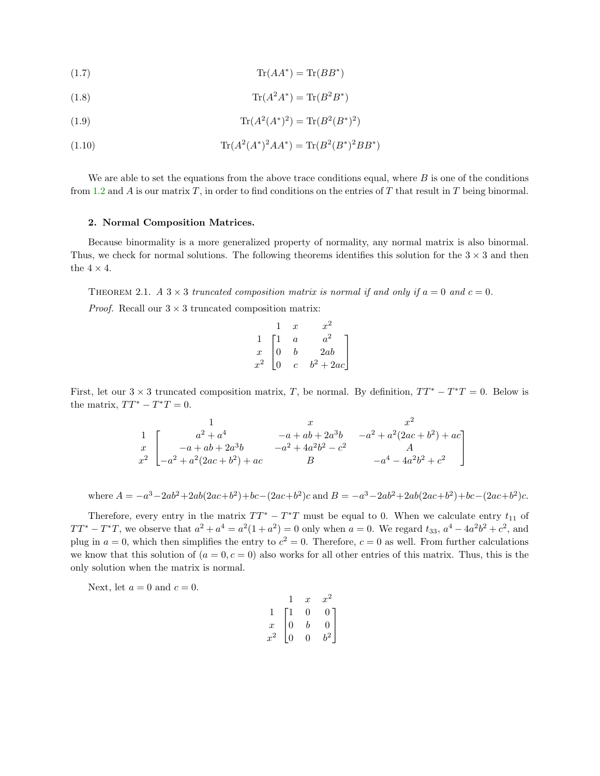<span id="page-4-1"></span>
$$
Tr(AA^*) = Tr(BB^*)
$$

$$
Tr(A^2A^*) = Tr(B^2B^*)
$$

(1.9) 
$$
\text{Tr}(A^2(A^*)^2) = \text{Tr}(B^2(B^*)^2)
$$

(1.10) 
$$
\text{Tr}(A^2(A^*)^2AA^*) = \text{Tr}(B^2(B^*)^2BB^*)
$$

We are able to set the equations from the above trace conditions equal, where  $B$  is one of the conditions from [1.2](#page-3-0) and A is our matrix T, in order to find conditions on the entries of T that result in T being binormal.

#### 2. Normal Composition Matrices.

Because binormality is a more generalized property of normality, any normal matrix is also binormal. Thus, we check for normal solutions. The following theorems identifies this solution for the  $3 \times 3$  and then the  $4\times 4.$ 

<span id="page-4-0"></span>THEOREM 2.1. A  $3 \times 3$  truncated composition matrix is normal if and only if  $a = 0$  and  $c = 0$ . *Proof.* Recall our  $3 \times 3$  truncated composition matrix:

|                  |                | $\boldsymbol{x}$ |                    |
|------------------|----------------|------------------|--------------------|
|                  | $\perp$        | $\overline{a}$   |                    |
| $\boldsymbol{x}$ | $\overline{0}$ | h                | $_{2ab}$           |
|                  |                | C                | $+ 2ac$<br>$\,b^2$ |

First, let our  $3 \times 3$  truncated composition matrix, T, be normal. By definition,  $TT^* - T^*T = 0$ . Below is the matrix,  $TT^* - T^*T = 0$ .

$$
\begin{array}{ccc}\n & & x & x^2 \\
1 & & a^2 + a^4 & -a + ab + 2a^3b & -a^2 + a^2(2ac + b^2) + ac \\
x & -a + ab + 2a^3b & -a^2 + 4a^2b^2 - c^2 & A \\
x^2 & -a^2 + a^2(2ac + b^2) + ac & B & -a^4 - 4a^2b^2 + c^2\n\end{array}
$$

where 
$$
A = -a^3 - 2ab^2 + 2ab(2ac+b^2) + bc - (2ac+b^2)c
$$
 and  $B = -a^3 - 2ab^2 + 2ab(2ac+b^2) + bc - (2ac+b^2)c$ .

Therefore, every entry in the matrix  $TT^* - T^*T$  must be equal to 0. When we calculate entry  $t_{11}$  of  $TT^* - T^*T$ , we observe that  $a^2 + a^4 = a^2(1 + a^2) = 0$  only when  $a = 0$ . We regard  $t_{33}$ ,  $a^4 - 4a^2b^2 + c^2$ , and plug in  $a = 0$ , which then simplifies the entry to  $c^2 = 0$ . Therefore,  $c = 0$  as well. From further calculations we know that this solution of  $(a = 0, c = 0)$  also works for all other entries of this matrix. Thus, this is the only solution when the matrix is normal.

Next, let  $a = 0$  and  $c = 0$ .

|                  |    | $\boldsymbol{x}$ | $x^2$           |
|------------------|----|------------------|-----------------|
|                  | Г1 | 0                | 0               |
| $\boldsymbol{x}$ | 0  | b                | $\overline{0}$  |
| $x^2$            | 0  | 0                | $\frac{1}{b^2}$ |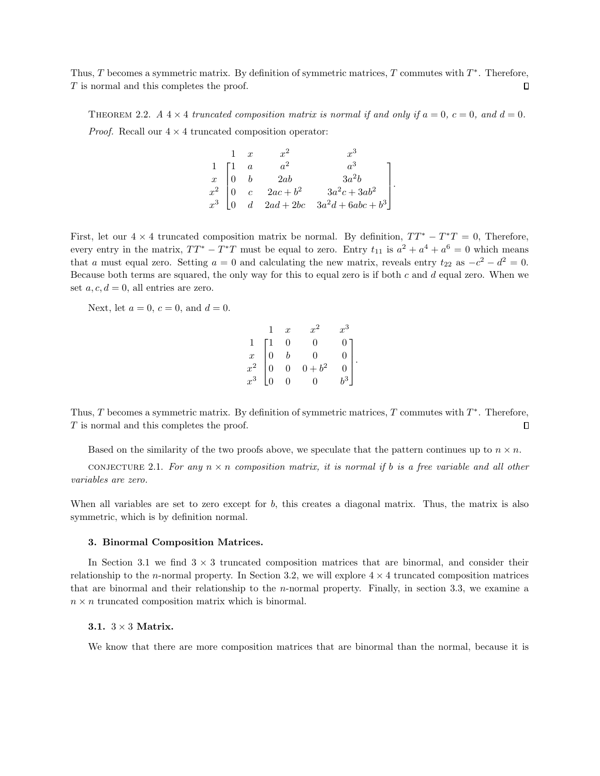Thus, T becomes a symmetric matrix. By definition of symmetric matrices, T commutes with  $T^*$ . Therefore,  $\Box$ T is normal and this completes the proof.

THEOREM 2.2. A  $4 \times 4$  truncated composition matrix is normal if and only if  $a = 0$ ,  $c = 0$ , and  $d = 0$ . *Proof.* Recall our  $4 \times 4$  truncated composition operator:

| $1 \quad x$ | $x^2$ |                                                                                                                                                                |  |
|-------------|-------|----------------------------------------------------------------------------------------------------------------------------------------------------------------|--|
|             |       |                                                                                                                                                                |  |
|             |       |                                                                                                                                                                |  |
|             |       |                                                                                                                                                                |  |
|             |       | $\begin{bmatrix} 1 & a & a^2 & a^3 \\ x & 0 & b & 2ab & 3a^2b \\ x^2 & 0 & c & 2ac+b^2 & 3a^2c+3ab^2 \\ x^3 & 0 & d & 2ad+2bc & 3a^2d+6abc+b^3 \end{bmatrix}.$ |  |

First, let our  $4 \times 4$  truncated composition matrix be normal. By definition,  $TT^* - T^*T = 0$ , Therefore, every entry in the matrix,  $TT^* - T^*T$  must be equal to zero. Entry  $t_{11}$  is  $a^2 + a^4 + a^6 = 0$  which means that a must equal zero. Setting  $a = 0$  and calculating the new matrix, reveals entry  $t_{22}$  as  $-c^2 - d^2 = 0$ . Because both terms are squared, the only way for this to equal zero is if both  $c$  and  $d$  equal zero. When we set  $a, c, d = 0$ , all entries are zero.

Next, let  $a = 0$ ,  $c = 0$ , and  $d = 0$ .

|                                                       |                                             | $\boldsymbol{x}$ | $x^2$          | $x^3$            |  |
|-------------------------------------------------------|---------------------------------------------|------------------|----------------|------------------|--|
|                                                       |                                             | 0                | Ω              | $0^-$            |  |
| $\begin{array}{c}\n1 \\ x \\ x^2 \\ x^3\n\end{array}$ | $\begin{bmatrix} 1 \\ 0 \\ 0 \end{bmatrix}$ | $\boldsymbol{b}$ | $\overline{0}$ | $\vert$          |  |
|                                                       |                                             | $\theta$         | $0 + b^2$      | $\vert$ 0        |  |
|                                                       | $\vert_0$                                   | $\overline{0}$   | $\Omega$       | $\overline{b^3}$ |  |

Thus, T becomes a symmetric matrix. By definition of symmetric matrices, T commutes with  $T^*$ . Therefore, T is normal and this completes the proof.  $\Box$ 

Based on the similarity of the two proofs above, we speculate that the pattern continues up to  $n \times n$ .

CONJECTURE 2.1. For any  $n \times n$  composition matrix, it is normal if b is a free variable and all other variables are zero.

When all variables are set to zero except for  $b$ , this creates a diagonal matrix. Thus, the matrix is also symmetric, which is by definition normal.

## 3. Binormal Composition Matrices.

In Section 3.1 we find  $3 \times 3$  truncated composition matrices that are binormal, and consider their relationship to the n-normal property. In Section 3.2, we will explore  $4 \times 4$  truncated composition matrices that are binormal and their relationship to the n-normal property. Finally, in section 3.3, we examine a  $n \times n$  truncated composition matrix which is binormal.

# 3.1.  $3 \times 3$  Matrix.

We know that there are more composition matrices that are binormal than the normal, because it is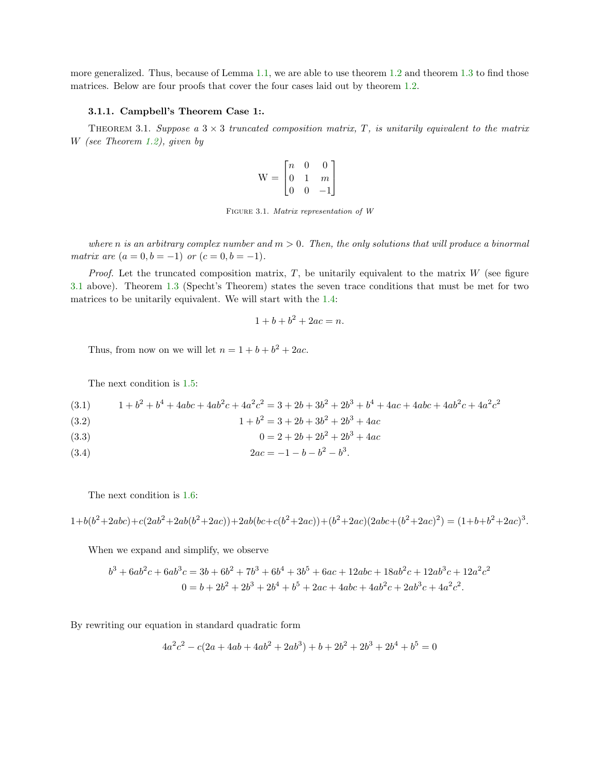more generalized. Thus, because of Lemma [1.1,](#page-2-0) we are able to use theorem [1.2](#page-3-0) and theorem [1.3](#page-3-1) to find those matrices. Below are four proofs that cover the four cases laid out by theorem [1.2.](#page-3-0)

## 3.1.1. Campbell's Theorem Case 1:.

<span id="page-6-0"></span>THEOREM 3.1. Suppose a  $3 \times 3$  truncated composition matrix, T, is unitarily equivalent to the matrix W (see Theorem [1.2\)](#page-3-0), given by

$$
\mathbf{W} = \begin{bmatrix} n & 0 & 0 \\ 0 & 1 & m \\ 0 & 0 & -1 \end{bmatrix}
$$

Figure 3.1. Matrix representation of W

where n is an arbitrary complex number and  $m > 0$ . Then, the only solutions that will produce a binormal matrix are  $(a = 0, b = -1)$  or  $(c = 0, b = -1)$ .

*Proof.* Let the truncated composition matrix,  $T$ , be unitarily equivalent to the matrix  $W$  (see figure [3.1](#page-6-0) above). Theorem [1.3](#page-3-1) (Specht's Theorem) states the seven trace conditions that must be met for two matrices to be unitarily equivalent. We will start with the [1.4:](#page-3-2)

$$
1 + b + b^2 + 2ac = n.
$$

Thus, from now on we will let  $n = 1 + b + b^2 + 2ac$ .

The next condition is [1.5:](#page-3-3)

$$
(3.1) \qquad 1+b^2+b^4+4abc+4ab^2c+4a^2c^2=3+2b+3b^2+2b^3+b^4+4ac+4abc+4ab^2c+4a^2c^2
$$

(3.2)  $1 + b^2 = 3 + 2b + 3b^2 + 2b^3 + 4ac$ 

$$
(3.3) \t\t 0 = 2 + 2b + 2b^2 + 2b^3 + 4ac
$$

<span id="page-6-1"></span>(3.4)  $2ac = -1 - b - b^2 - b^3$ .

The next condition is [1.6:](#page-3-4)

$$
1+b(b^2+2abc)+c(2ab^2+2ab(b^2+2ac))+2ab(bc+c(b^2+2ac))+(b^2+2ac)(2abc+(b^2+2ac)^2)=(1+b+b^2+2ac)^3.
$$

When we expand and simplify, we observe

$$
b^3 + 6ab^2c + 6ab^3c = 3b + 6b^2 + 7b^3 + 6b^4 + 3b^5 + 6ac + 12abc + 18ab^2c + 12ab^3c + 12a^2c^2
$$
  

$$
0 = b + 2b^2 + 2b^3 + 2b^4 + b^5 + 2ac + 4abc + 4ab^2c + 2ab^3c + 4a^2c^2.
$$

By rewriting our equation in standard quadratic form

$$
4a^2c^2 - c(2a + 4ab + 4ab^2 + 2ab^3) + b + 2b^2 + 2b^3 + 2b^4 + b^5 = 0
$$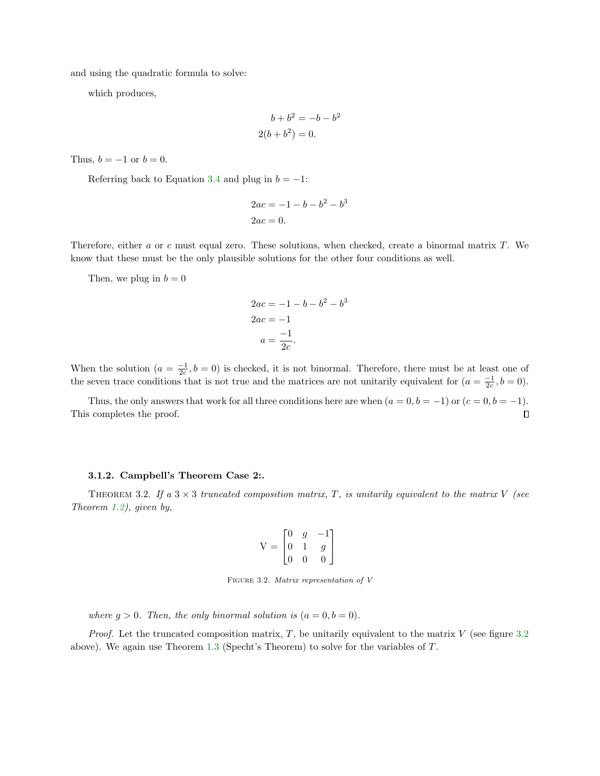and using the quadratic formula to solve:

which produces,

$$
b + b2 = -b - b2
$$
  
2(b+b<sup>2</sup>) = 0.

Thus,  $b = -1$  or  $b = 0$ .

Referring back to Equation [3.4](#page-6-1) and plug in  $b = -1$ :

$$
2ac = -1 - b - b^2 - b^3
$$
  

$$
2ac = 0.
$$

Therefore, either a or c must equal zero. These solutions, when checked, create a binormal matrix T. We know that these must be the only plausible solutions for the other four conditions as well.

Then, we plug in  $b = 0$ 

$$
2ac = -1 - b - b^{2} - b^{3}
$$

$$
2ac = -1
$$

$$
a = \frac{-1}{2c}.
$$

When the solution  $(a = \frac{-1}{2c}, b = 0)$  is checked, it is not binormal. Therefore, there must be at least one of the seven trace conditions that is not true and the matrices are not unitarily equivalent for  $(a = \frac{-1}{2c}, b = 0)$ .

Thus, the only answers that work for all three conditions here are when  $(a = 0, b = -1)$  or  $(c = 0, b = -1)$ . This completes the proof.  $\Box$ 

### 3.1.2. Campbell's Theorem Case 2:.

<span id="page-7-0"></span>THEOREM 3.2. If a  $3 \times 3$  truncated composition matrix, T, is unitarily equivalent to the matrix V (see Theorem [1.2\)](#page-3-0), given by,

$$
V = \begin{bmatrix} 0 & g & -1 \\ 0 & 1 & g \\ 0 & 0 & 0 \end{bmatrix}
$$

FIGURE 3.2. Matrix representation of V

where  $g > 0$ . Then, the only binormal solution is  $(a = 0, b = 0)$ .

*Proof.* Let the truncated composition matrix, T, be unitarily equivalent to the matrix  $V$  (see figure [3.2](#page-7-0)) above). We again use Theorem [1.3](#page-3-1) (Specht's Theorem) to solve for the variables of T.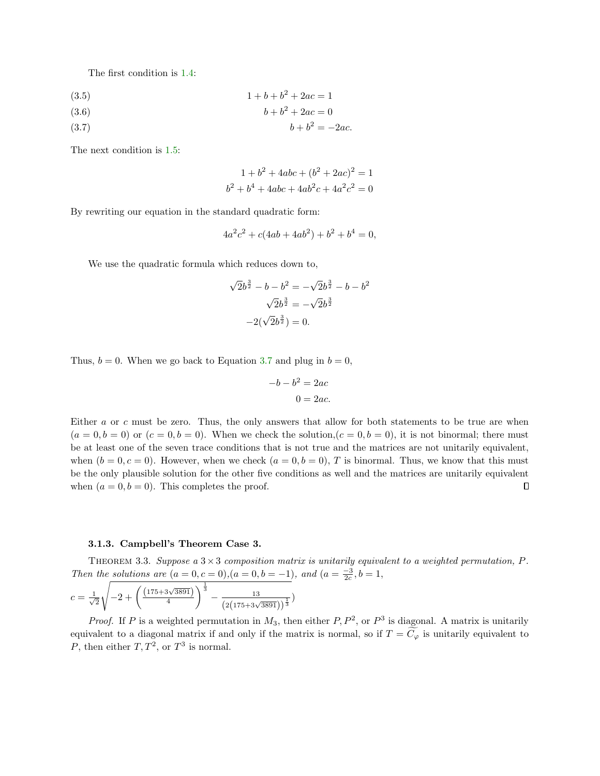The first condition is [1.4:](#page-3-2)

$$
(3.5) \t\t\t 1 + b + b2 + 2ac = 1
$$

$$
(3.6) \t\t b + b^2 + 2ac = 0
$$

<span id="page-8-0"></span>(3.7)  $b + b^2 = -2ac$ .

The next condition is [1.5:](#page-3-3)

$$
1 + b2 + 4abc + (b2 + 2ac)2 = 1
$$
  

$$
b2 + b4 + 4abc + 4ab2c + 4a2c2 = 0
$$

By rewriting our equation in the standard quadratic form:

$$
4a^2c^2 + c(4ab + 4ab^2) + b^2 + b^4 = 0,
$$

We use the quadratic formula which reduces down to,

$$
\sqrt{2}b^{\frac{3}{2}} - b - b^2 = -\sqrt{2}b^{\frac{3}{2}} - b - b^2
$$

$$
\sqrt{2}b^{\frac{3}{2}} = -\sqrt{2}b^{\frac{3}{2}}
$$

$$
-2(\sqrt{2}b^{\frac{3}{2}}) = 0.
$$

Thus,  $b = 0$ . When we go back to Equation [3.7](#page-8-0) and plug in  $b = 0$ ,

$$
-b - b^2 = 2ac
$$

$$
0 = 2ac.
$$

Either a or c must be zero. Thus, the only answers that allow for both statements to be true are when  $(a = 0, b = 0)$  or  $(c = 0, b = 0)$ . When we check the solution,  $(c = 0, b = 0)$ , it is not binormal; there must be at least one of the seven trace conditions that is not true and the matrices are not unitarily equivalent, when  $(b = 0, c = 0)$ . However, when we check  $(a = 0, b = 0)$ , T is binormal. Thus, we know that this must be the only plausible solution for the other five conditions as well and the matrices are unitarily equivalent when  $(a = 0, b = 0)$ . This completes the proof. О

#### 3.1.3. Campbell's Theorem Case 3.

THEOREM 3.3. Suppose a  $3\times 3$  composition matrix is unitarily equivalent to a weighted permutation, P. Then the solutions are  $(a = 0, c = 0), (a = 0, b = -1),$  and  $(a = \frac{-3}{2c}, b = 1,$ 

$$
c = \frac{1}{\sqrt{2}}\sqrt{-2 + \left(\frac{(175 + 3\sqrt{3891})}{4}\right)^{\frac{1}{3}} - \frac{13}{\left(2(175 + 3\sqrt{3891})\right)^{\frac{1}{3}}}}
$$

*Proof.* If P is a weighted permutation in  $M_3$ , then either P,  $P^2$ , or  $P^3$  is diagonal. A matrix is unitarily equivalent to a diagonal matrix if and only if the matrix is normal, so if  $T = C_{\varphi}$  is unitarily equivalent to P, then either  $T, T^2$ , or  $T^3$  is normal.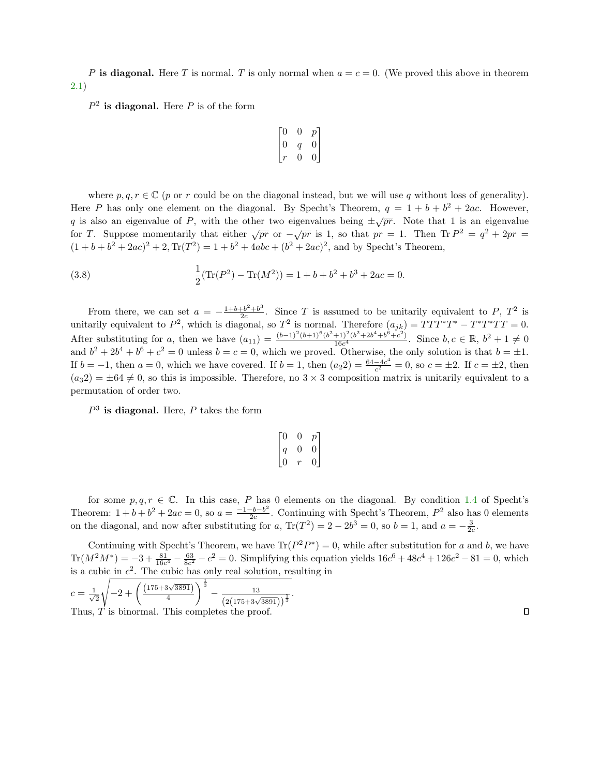P is diagonal. Here T is normal. T is only normal when  $a = c = 0$ . (We proved this above in theorem [2.1\)](#page-4-0)

 $P<sup>2</sup>$  is diagonal. Here P is of the form

$$
\begin{bmatrix} 0 & 0 & p \\ 0 & q & 0 \\ r & 0 & 0 \end{bmatrix}
$$

where p,  $q, r \in \mathbb{C}$  (p or r could be on the diagonal instead, but we will use q without loss of generality). Here P has only one element on the diagonal. By Specht's Theorem,  $q = 1 + b + b^2 + 2ac$ . However, q is also an eigenvalue of P, with the other two eigenvalues being  $\pm \sqrt{pr}$ . Note that 1 is an eigenvalue for T. Suppose momentarily that either  $\sqrt{pr}$  or  $-\sqrt{pr}$  is 1, so that  $pr = 1$ . Then Tr  $P^2 = q^2 + 2pr =$  $(1 + b + b^2 + 2ac)^2 + 2$ ,  $Tr(T^2) = 1 + b^2 + 4abc + (b^2 + 2ac)^2$ , and by Specht's Theorem,

(3.8) 
$$
\frac{1}{2}(\text{Tr}(P^2) - \text{Tr}(M^2)) = 1 + b + b^2 + b^3 + 2ac = 0.
$$

From there, we can set  $a = -\frac{1+b+b^2+b^3}{2c}$ . Since T is assumed to be unitarily equivalent to P,  $T^2$  is unitarily equivalent to  $P^2$ , which is diagonal, so  $T^2$  is normal. Therefore  $(a_{jk}) = TTT^*T^* - T^*T^*TT = 0$ . After substituting for a, then we have  $(a_{11}) = \frac{(b-1)^2(b+1)^6(b^2+1)^2(b^2+2b^4+b^6+c^2)}{16c^4}$  $\frac{(b^2+2b^4+b^6+c^2)}{16c^4}$ . Since  $b, c \in \mathbb{R}, b^2+1 \neq 0$ and  $b^2 + 2b^4 + b^6 + c^2 = 0$  unless  $b = c = 0$ , which we proved. Otherwise, the only solution is that  $b = \pm 1$ . If  $b = -1$ , then  $a = 0$ , which we have covered. If  $b = 1$ , then  $(a_2 2) = \frac{64-4c^4}{c^2}$  $\frac{-4c^2}{c^2} = 0$ , so  $c = \pm 2$ . If  $c = \pm 2$ , then  $(a_32) = \pm 64 \neq 0$ , so this is impossible. Therefore, no 3 × 3 composition matrix is unitarily equivalent to a permutation of order two.

 $P<sup>3</sup>$  is diagonal. Here, P takes the form

| $\lceil 0$                                               | 0 |                                             |
|----------------------------------------------------------|---|---------------------------------------------|
| $\left[\begin{smallmatrix} q\0 \end{smallmatrix}\right]$ | 0 | $\begin{bmatrix} p \\ 0 \\ 0 \end{bmatrix}$ |
|                                                          | r |                                             |

for some  $p, q, r \in \mathbb{C}$ . In this case, P has 0 elements on the diagonal. By condition [1.4](#page-3-2) of Specht's Theorem:  $1 + b + b^2 + 2ac = 0$ , so  $a = \frac{-1 - b - b^2}{2c}$  $\frac{-b-b^2}{2c}$ . Continuing with Specht's Theorem,  $P^2$  also has 0 elements on the diagonal, and now after substituting for a,  $\text{Tr}(T^2) = 2 - 2b^3 = 0$ , so  $b = 1$ , and  $a = -\frac{3}{2c}$ .

Continuing with Specht's Theorem, we have  $\text{Tr}(P^2P^*)=0$ , while after substitution for a and b, we have  $\text{Tr}(M^2M^*) = -3 + \frac{81}{16c^4} - \frac{63}{8c^2} - c^2 = 0$ . Simplifying this equation yields  $16c^6 + 48c^4 + 126c^2 - 81 = 0$ , which is a cubic in  $c^2$ . The cubic has only real solution, resulting in

.

$$
c = \frac{1}{\sqrt{2}} \sqrt{-2 + \left(\frac{(175 + 3\sqrt{3891})}{4}\right)^{\frac{1}{3}} - \frac{13}{(2(175 + 3\sqrt{3891}))^{\frac{1}{3}}}}
$$
  
Thus, *T* is binormal. This completes the proof.

 $\Box$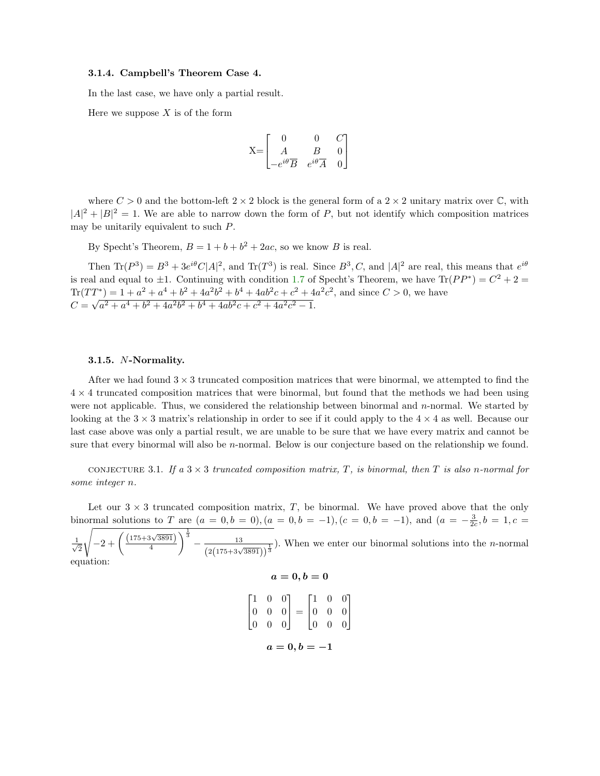## 3.1.4. Campbell's Theorem Case 4.

In the last case, we have only a partial result.

Here we suppose  $X$  is of the form

$$
\mathbf{X}\mathbf{=}\begin{bmatrix} \mathbf{0} & \mathbf{0} & C \\ A & B & \mathbf{0} \\ -e^{i\theta} \overline{B} & e^{i\theta} \overline{A} & \mathbf{0} \end{bmatrix}
$$

where  $C > 0$  and the bottom-left  $2 \times 2$  block is the general form of a  $2 \times 2$  unitary matrix over C, with  $|A|^2 + |B|^2 = 1$ . We are able to narrow down the form of P, but not identify which composition matrices may be unitarily equivalent to such P.

By Specht's Theorem,  $B = 1 + b + b^2 + 2ac$ , so we know B is real.

Then  $\text{Tr}(P^3) = B^3 + 3e^{i\theta}C|A|^2$ , and  $\text{Tr}(T^3)$  is real. Since  $B^3, C$ , and  $|A|^2$  are real, this means that  $e^{i\theta}$ is real and equal to  $\pm 1$ . Continuing with condition [1.7](#page-4-1) of Specht's Theorem, we have  $\text{Tr}(PP^*) = C^2 + 2 =$  $\text{Tr}(TT^*) = 1 + a^2 + a^4 + b^2 + 4a^2b^2 + b^4 + 4ab^2c + c^2 + 4a^2c^2$ , and since  $C > 0$ , we have  $C =$  $^{\perp}$  $a^2 + a^4 + b^2 + 4a^2b^2 + b^4 + 4ab^2c + c^2 + 4a^2c^2 - 1.$ 

### 3.1.5. N-Normality.

After we had found  $3 \times 3$  truncated composition matrices that were binormal, we attempted to find the  $4 \times 4$  truncated composition matrices that were binormal, but found that the methods we had been using were not applicable. Thus, we considered the relationship between binormal and  $n$ -normal. We started by looking at the  $3 \times 3$  matrix's relationship in order to see if it could apply to the  $4 \times 4$  as well. Because our last case above was only a partial result, we are unable to be sure that we have every matrix and cannot be sure that every binormal will also be *n*-normal. Below is our conjecture based on the relationship we found.

<span id="page-10-0"></span>CONJECTURE 3.1. If a  $3 \times 3$  truncated composition matrix, T, is binormal, then T is also n-normal for some integer n.

Let our  $3 \times 3$  truncated composition matrix, T, be binormal. We have proved above that the only binormal solutions to T are  $(a = 0, b = 0), (a = 0, b = -1), (c = 0, b = -1),$  and  $(a = -\frac{3}{2c}, b = 1, c =$ 

 $\frac{1}{\sqrt{2}}$ 2  $\sqrt{-2 + \left(\frac{(175 + 3\sqrt{3891})}{4}\right)}$ 4  $\int_{0}^{\frac{1}{3}} - \frac{13}{(2(175+3\sqrt{3891}))^{\frac{1}{3}}})$ . When we enter our binormal solutions into the *n*-normal equation:  $a = 0, b = 0$ 

$$
\begin{bmatrix} 1 & 0 & 0 \ 0 & 0 & 0 \ 0 & 0 & 0 \end{bmatrix} = \begin{bmatrix} 1 & 0 & 0 \ 0 & 0 & 0 \ 0 & 0 & 0 \end{bmatrix}
$$

$$
a = 0, b = -1
$$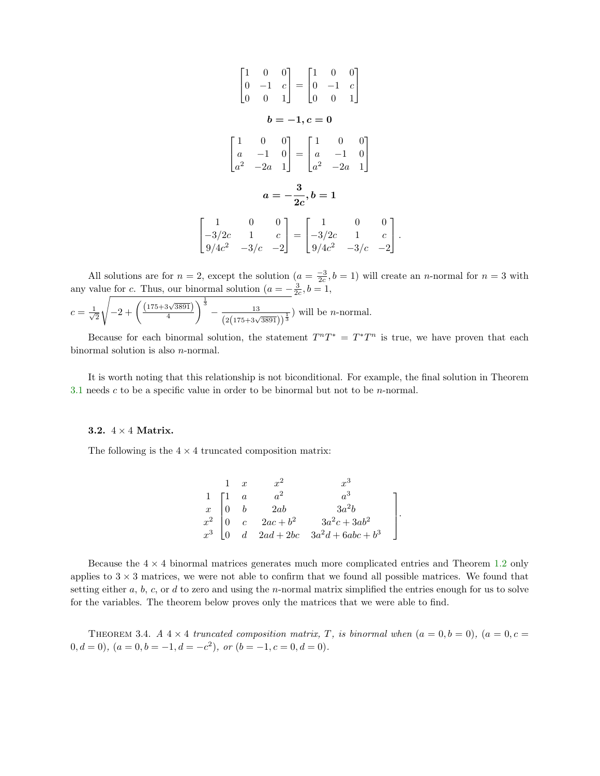$$
\begin{bmatrix} 1 & 0 & 0 \ 0 & -1 & c \ 0 & 0 & 1 \end{bmatrix} = \begin{bmatrix} 1 & 0 & 0 \ 0 & -1 & c \ 0 & 0 & 1 \end{bmatrix}
$$

$$
\boldsymbol{b} = -1, \boldsymbol{c} = \mathbf{0}
$$

$$
\begin{bmatrix} 1 & 0 & 0 \ a & -1 & 0 \ a^2 & -2a & 1 \end{bmatrix} = \begin{bmatrix} 1 & 0 & 0 \ a & -1 & 0 \ a^2 & -2a & 1 \end{bmatrix}
$$

$$
\boldsymbol{a} = -\frac{\mathbf{3}}{2c}, \boldsymbol{b} = \mathbf{1}
$$

$$
-3/2c \quad 1 \quad c \ -3/c \quad -2/c \quad -2/c \quad 2/c \quad -3/c \quad -2
$$

All solutions are for  $n = 2$ , except the solution  $(a = \frac{-3}{2c}, b = 1)$  will create an *n*-normal for  $n = 3$  with any value for c. Thus, our binormal solution ( $a = -\frac{3}{2c}$ ,  $b = 1$ ,

1  $|\cdot$ 

.

$$
c = \frac{1}{\sqrt{2}}\sqrt{-2 + \left(\frac{(175 + 3\sqrt{3891})}{4}\right)^{\frac{1}{3}} - \frac{13}{(2(175 + 3\sqrt{3891}))^{\frac{1}{3}}}}
$$
 will be *n*-normal.

 $\lceil$  $\overline{1}$ 

Because for each binormal solution, the statement  $T^{n}T^{*} = T^{*}T^{n}$  is true, we have proven that each binormal solution is also n-normal.

It is worth noting that this relationship is not biconditional. For example, the final solution in Theorem [3.1](#page-10-0) needs c to be a specific value in order to be binormal but not to be n-normal.

#### 3.2.  $4 \times 4$  Matrix.

The following is the  $4 \times 4$  truncated composition matrix:

$$
\left.\begin{array}{cccc} 1 & x & x^2 & x^3\\ 1 & a & a^2 & a^3\\ x & 0 & b & 2ab & 3a^2b\\ x^2 & 0 & c & 2ac+b^2 & 3a^2c+3ab^2\\ x^3 & 0 & d & 2ad+2bc & 3a^2d+6abc+b^3 \end{array}\right]
$$

Because the  $4 \times 4$  binormal matrices generates much more complicated entries and Theorem [1.2](#page-3-0) only applies to  $3 \times 3$  matrices, we were not able to confirm that we found all possible matrices. We found that setting either  $a, b, c,$  or  $d$  to zero and using the *n*-normal matrix simplified the entries enough for us to solve for the variables. The theorem below proves only the matrices that we were able to find.

THEOREM 3.4. A  $4 \times 4$  truncated composition matrix, T, is binormal when  $(a = 0, b = 0)$ ,  $(a = 0, c = 0)$  $(0, d = 0), (a = 0, b = -1, d = -c^2), or (b = -1, c = 0, d = 0).$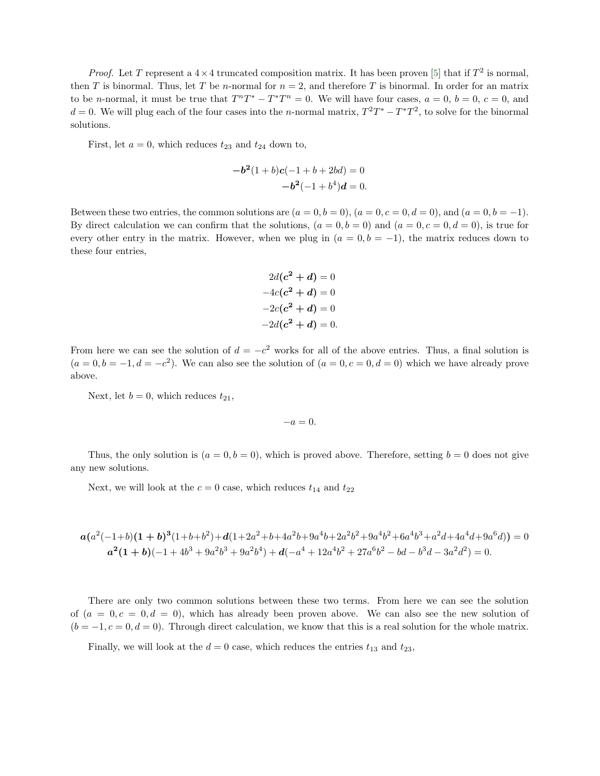*Proof.* Let T represent a  $4 \times 4$  truncated composition matrix. It has been proven [\[5\]](#page-25-4) that if  $T^2$  is normal, then T is binormal. Thus, let T be n-normal for  $n = 2$ , and therefore T is binormal. In order for an matrix to be *n*-normal, it must be true that  $T^{n}T^{*} - T^{*}T^{n} = 0$ . We will have four cases,  $a = 0, b = 0, c = 0$ , and  $d = 0$ . We will plug each of the four cases into the *n*-normal matrix,  $T^2T^* - T^*T^2$ , to solve for the binormal solutions.

First, let  $a = 0$ , which reduces  $t_{23}$  and  $t_{24}$  down to,

$$
-b2(1+b)c(-1+b+2bd) = 0
$$
  

$$
-b2(-1+b4)d = 0.
$$

Between these two entries, the common solutions are  $(a = 0, b = 0)$ ,  $(a = 0, c = 0, d = 0)$ , and  $(a = 0, b = -1)$ . By direct calculation we can confirm that the solutions,  $(a = 0, b = 0)$  and  $(a = 0, c = 0, d = 0)$ , is true for every other entry in the matrix. However, when we plug in  $(a = 0, b = -1)$ , the matrix reduces down to these four entries,

$$
2d(c2 + d) = 0
$$

$$
-4c(c2 + d) = 0
$$

$$
-2c(c2 + d) = 0
$$

$$
-2d(c2 + d) = 0.
$$

From here we can see the solution of  $d = -c^2$  works for all of the above entries. Thus, a final solution is  $(a = 0, b = -1, d = -c^2)$ . We can also see the solution of  $(a = 0, c = 0, d = 0)$  which we have already prove above.

Next, let  $b = 0$ , which reduces  $t_{21}$ ,

$$
-a=0.
$$

Thus, the only solution is  $(a = 0, b = 0)$ , which is proved above. Therefore, setting  $b = 0$  does not give any new solutions.

Next, we will look at the  $c = 0$  case, which reduces  $t_{14}$  and  $t_{22}$ 

$$
a(a^2(-1+b)(1+b)^3(1+b+b^2)+d(1+2a^2+b+4a^2b+9a^4b+2a^2b^2+9a^4b^2+6a^4b^3+a^2d+4a^4d+9a^6d)) = 0
$$
  

$$
a^2(1+b)(-1+4b^3+9a^2b^3+9a^2b^4)+d(-a^4+12a^4b^2+27a^6b^2-bd-b^3d-3a^2d^2) = 0.
$$

There are only two common solutions between these two terms. From here we can see the solution of  $(a = 0, c = 0, d = 0)$ , which has already been proven above. We can also see the new solution of  $(b = -1, c = 0, d = 0)$ . Through direct calculation, we know that this is a real solution for the whole matrix.

Finally, we will look at the  $d = 0$  case, which reduces the entries  $t_{13}$  and  $t_{23}$ ,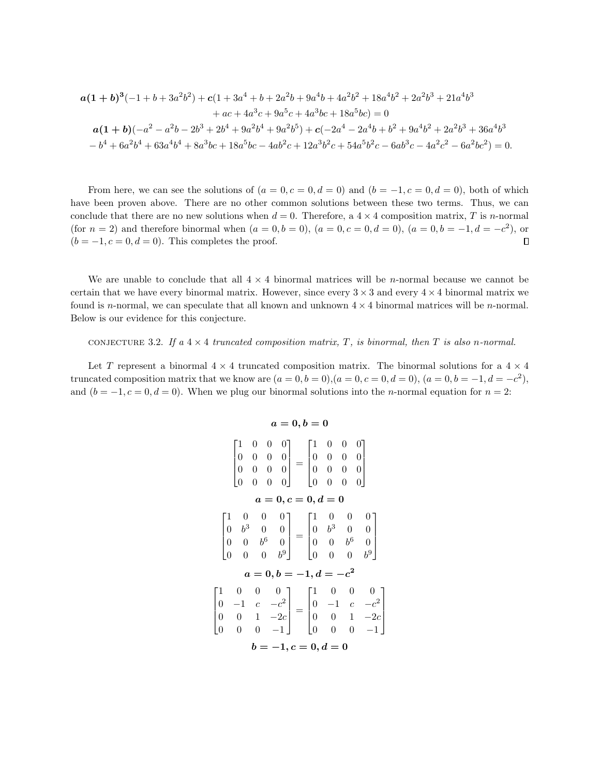$$
a(1+b)^3(-1+b+3a^2b^2)+c(1+3a^4+b+2a^2b+9a^4b+4a^2b^2+18a^4b^2+2a^2b^3+21a^4b^3+ac+4a^3c+9a^5c+4a^3bc+18a^5bc)=0
$$
  

$$
a(1+b)(-a^2-a^2b-2b^3+2b^4+9a^2b^4+9a^2b^5)+c(-2a^4-2a^4b+b^2+9a^4b^2+2a^2b^3+36a^4b^3- b^4+6a^2b^4+63a^4b^4+8a^3bc+18a^5bc-4ab^2c+12a^3b^2c+54a^5b^2c-6ab^3c-4a^2c^2-6a^2bc^2)=0.
$$

From here, we can see the solutions of  $(a = 0, c = 0, d = 0)$  and  $(b = -1, c = 0, d = 0)$ , both of which have been proven above. There are no other common solutions between these two terms. Thus, we can conclude that there are no new solutions when  $d = 0$ . Therefore, a  $4 \times 4$  composition matrix, T is n-normal (for  $n = 2$ ) and therefore binormal when  $(a = 0, b = 0)$ ,  $(a = 0, c = 0, d = 0)$ ,  $(a = 0, b = -1, d = -c^2)$ , or  $(b = -1, c = 0, d = 0)$ . This completes the proof.  $\Box$ 

We are unable to conclude that all  $4 \times 4$  binormal matrices will be *n*-normal because we cannot be certain that we have every binormal matrix. However, since every  $3 \times 3$  and every  $4 \times 4$  binormal matrix we found is n-normal, we can speculate that all known and unknown  $4 \times 4$  binormal matrices will be n-normal. Below is our evidence for this conjecture.

CONJECTURE 3.2. If a  $4 \times 4$  truncated composition matrix, T, is binormal, then T is also n-normal.

Let T represent a binormal  $4 \times 4$  truncated composition matrix. The binormal solutions for a  $4 \times 4$ truncated composition matrix that we know are  $(a = 0, b = 0), (a = 0, c = 0, d = 0), (a = 0, b = -1, d = -c^2)$ , and  $(b = -1, c = 0, d = 0)$ . When we plug our binormal solutions into the *n*-normal equation for  $n = 2$ :

$$
\begin{bmatrix}\n1 & 0 & 0 & 0 \\
0 & 0 & 0 & 0 \\
0 & 0 & 0 & 0 \\
0 & 0 & 0 & 0\n\end{bmatrix} = \begin{bmatrix}\n1 & 0 & 0 & 0 \\
0 & 0 & 0 & 0 \\
0 & 0 & 0 & 0 \\
0 & 0 & 0 & 0\n\end{bmatrix}
$$
\n
$$
\mathbf{a} = \mathbf{0}, \mathbf{c} = \mathbf{0}, \mathbf{d} = \mathbf{0}
$$
\n
$$
\begin{bmatrix}\n1 & 0 & 0 & 0 \\
0 & b^3 & 0 & 0 \\
0 & 0 & b^6 & 0 \\
0 & 0 & 0 & b^9\n\end{bmatrix} = \begin{bmatrix}\n1 & 0 & 0 & 0 \\
0 & b^3 & 0 & 0 \\
0 & 0 & b^6 & 0 \\
0 & 0 & 0 & b^9\n\end{bmatrix}
$$
\n
$$
\mathbf{a} = \mathbf{0}, \mathbf{b} = -\mathbf{1}, \mathbf{d} = -c^2
$$
\n
$$
\begin{bmatrix}\n1 & 0 & 0 & 0 \\
0 & -1 & c & -c^2 \\
0 & 0 & 1 & -2c \\
0 & 0 & 0 & -1\n\end{bmatrix} = \begin{bmatrix}\n1 & 0 & 0 & 0 \\
0 & -1 & c & -c^2 \\
0 & 0 & 1 & -2c \\
0 & 0 & 0 & -1\n\end{bmatrix}
$$
\n
$$
\mathbf{b} = -\mathbf{1}, \mathbf{c} = \mathbf{0}, \mathbf{d} = \mathbf{0}
$$

1  $\overline{1}$  $\perp$  $\mathbb{L}$ 

# $a = 0, b = 0$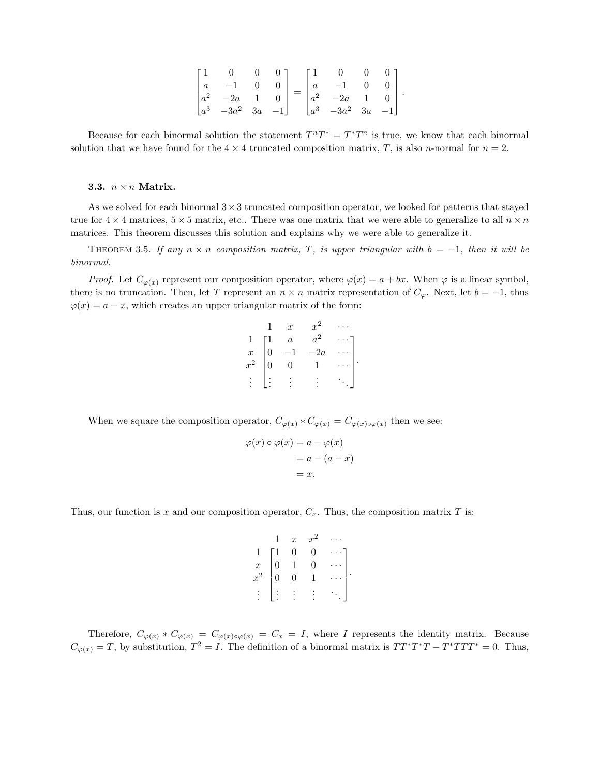| $\begin{bmatrix} a & -1 & 0 & 0 \\ a^2 & -2a & 1 & 0 \\ a^3 & -3a^2 & 3a & -1 \end{bmatrix} = \begin{bmatrix} a & -1 & 0 & 0 \\ a^2 & -2a & 1 & 0 \\ a^3 & -3a^2 & 3a & -1 \end{bmatrix}$ |  |  |  |  |
|-------------------------------------------------------------------------------------------------------------------------------------------------------------------------------------------|--|--|--|--|

Because for each binormal solution the statement  $T^{n}T^{*} = T^{*}T^{n}$  is true, we know that each binormal solution that we have found for the  $4 \times 4$  truncated composition matrix, T, is also n-normal for  $n = 2$ .

#### 3.3.  $n \times n$  Matrix.

As we solved for each binormal  $3\times 3$  truncated composition operator, we looked for patterns that stayed true for  $4 \times 4$  matrices,  $5 \times 5$  matrix, etc.. There was one matrix that we were able to generalize to all  $n \times n$ matrices. This theorem discusses this solution and explains why we were able to generalize it.

THEOREM 3.5. If any  $n \times n$  composition matrix, T, is upper triangular with  $b = -1$ , then it will be binormal.

*Proof.* Let  $C_{\varphi(x)}$  represent our composition operator, where  $\varphi(x) = a + bx$ . When  $\varphi$  is a linear symbol, there is no truncation. Then, let T represent an  $n \times n$  matrix representation of  $C_{\varphi}$ . Next, let  $b = -1$ , thus  $\varphi(x) = a - x$ , which creates an upper triangular matrix of the form:

|                 |                | $\boldsymbol{x}$ |       |  |
|-----------------|----------------|------------------|-------|--|
|                 |                | $\overline{a}$   | $a^2$ |  |
| $\frac{x}{x^2}$ | $\overline{0}$ |                  | $-2a$ |  |
|                 | $\overline{0}$ | 0                |       |  |
|                 |                |                  |       |  |
|                 |                |                  |       |  |

When we square the composition operator,  $C_{\varphi(x)} * C_{\varphi(x)} = C_{\varphi(x)\circ\varphi(x)}$  then we see:

$$
\varphi(x) \circ \varphi(x) = a - \varphi(x)
$$
  
= a - (a - x)  
= x.

Thus, our function is x and our composition operator,  $C_x$ . Thus, the composition matrix T is:

$$
\begin{array}{ccccccccc}\n & & 1 & x & x^2 & \cdots \\
1 & 1 & 0 & 0 & \cdots \\
x & 0 & 1 & 0 & \cdots \\
x^2 & 0 & 0 & 1 & \cdots \\
\vdots & \vdots & \vdots & \vdots & \ddots\n\end{array}
$$

Therefore,  $C_{\varphi(x)} * C_{\varphi(x)} = C_{\varphi(x)\circ\varphi(x)} = C_x = I$ , where I represents the identity matrix. Because  $C_{\varphi(x)} = T$ , by substitution,  $T^2 = I$ . The definition of a binormal matrix is  $TT^*T^*T - T^*TTT^* = 0$ . Thus,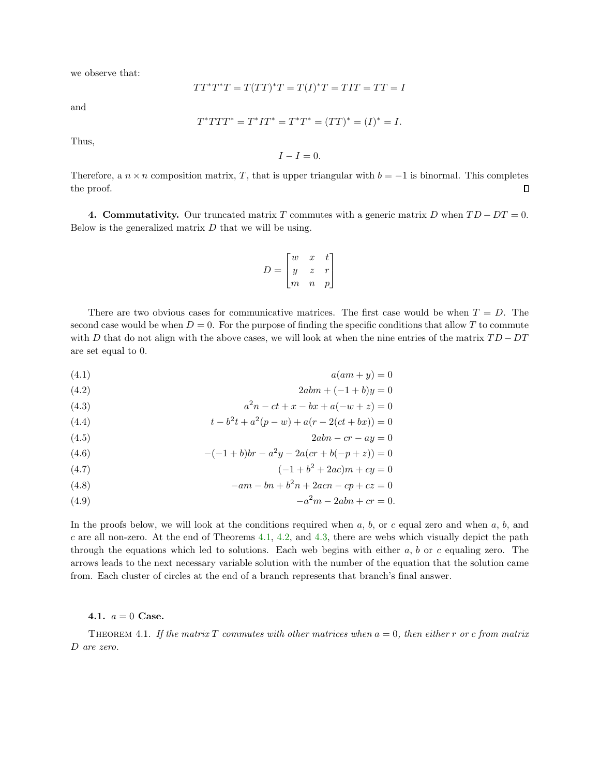we observe that:

$$
TT^*T^*T = T(TT)^*T = T(I)^*T = TIT = TT = I
$$

and

$$
T^*TTT^* = T^*IT^* = T^*T^* = (TT)^* = (I)^* = I.
$$

Thus,

 $I - I = 0.$ 

Therefore, a  $n \times n$  composition matrix, T, that is upper triangular with  $b = -1$  is binormal. This completes the proof.  $\Box$ 

4. Commutativity. Our truncated matrix T commutes with a generic matrix D when  $TD - DT = 0$ . Below is the generalized matrix  $D$  that we will be using.

$$
D = \begin{bmatrix} w & x & t \\ y & z & r \\ m & n & p \end{bmatrix}
$$

There are two obvious cases for communicative matrices. The first case would be when  $T = D$ . The second case would be when  $D = 0$ . For the purpose of finding the specific conditions that allow T to commute with D that do not align with the above cases, we will look at when the nine entries of the matrix  $TD - DT$ are set equal to 0.

<span id="page-15-9"></span><span id="page-15-3"></span>
$$
(4.1) \t a(am+y)=0
$$

<span id="page-15-4"></span>
$$
(4.2) \t\t 2abm + (-1+b)y = 0
$$

(4.3) 
$$
a^2n - ct + x - bx + a(-w + z) = 0
$$

<span id="page-15-7"></span><span id="page-15-1"></span>(4.4) 
$$
t - b^2t + a^2(p - w) + a(r - 2(ct + bx)) = 0
$$

<span id="page-15-8"></span>
$$
(4.5) \t\t 2abn - cr - ay = 0
$$

(4.6) 
$$
-(-1+b)br - a^2y - 2a (cr + b(-p+z)) = 0
$$

<span id="page-15-5"></span>(4.7) 
$$
(-1+b^2+2ac)m+cy=0
$$

<span id="page-15-6"></span><span id="page-15-2"></span>(4.8) 
$$
-am - bn + b^2n + 2acn - cp + cz = 0
$$

(4.9) 
$$
-a^2m - 2abn + cr = 0.
$$

In the proofs below, we will look at the conditions required when  $a, b$ , or c equal zero and when  $a, b$ , and  $c$  are all non-zero. At the end of Theorems [4.1,](#page-15-0) [4.2,](#page-18-0) and [4.3,](#page-20-0) there are webs which visually depict the path through the equations which led to solutions. Each web begins with either  $a, b$  or c equaling zero. The arrows leads to the next necessary variable solution with the number of the equation that the solution came from. Each cluster of circles at the end of a branch represents that branch's final answer.

# <span id="page-15-0"></span>4.1.  $a = 0$  Case.

THEOREM 4.1. If the matrix T commutes with other matrices when  $a = 0$ , then either r or c from matrix D are zero.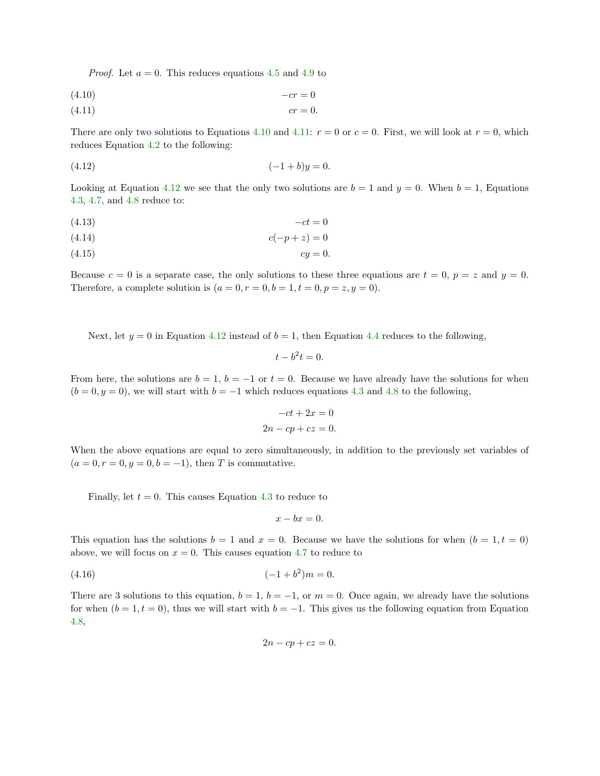*Proof.* Let  $a = 0$ . This reduces equations [4.5](#page-15-1) and [4.9](#page-15-2) to

<span id="page-16-1"></span><span id="page-16-0"></span>
$$
-(4.10)\t\t -cr = 0
$$

$$
(4.11) \t\t \t\t cr = 0.
$$

There are only two solutions to Equations [4.10](#page-16-0) and [4.11:](#page-16-1)  $r = 0$  or  $c = 0$ . First, we will look at  $r = 0$ , which reduces Equation [4.2](#page-15-3) to the following:

<span id="page-16-2"></span>
$$
(4.12)\t\t\t (-1+b)y = 0.
$$

Looking at Equation [4.12](#page-16-2) we see that the only two solutions are  $b = 1$  and  $y = 0$ . When  $b = 1$ , Equations [4.3,](#page-15-4) [4.7,](#page-15-5) and [4.8](#page-15-6) reduce to:

$$
(4.13)\qquad \qquad -ct = 0
$$

$$
(4.14) \qquad \qquad c(-p+z) = 0
$$

$$
(4.15) \t\t\t cy = 0.
$$

Because  $c = 0$  is a separate case, the only solutions to these three equations are  $t = 0$ ,  $p = z$  and  $y = 0$ . Therefore, a complete solution is  $(a = 0, r = 0, b = 1, t = 0, p = z, y = 0)$ .

Next, let  $y = 0$  in Equation [4.12](#page-16-2) instead of  $b = 1$ , then Equation [4.4](#page-15-7) reduces to the following,

$$
t - b^2 t = 0.
$$

From here, the solutions are  $b = 1$ ,  $b = -1$  or  $t = 0$ . Because we have already have the solutions for when  $(b = 0, y = 0)$ , we will start with  $b = -1$  which reduces equations [4.3](#page-15-4) and [4.8](#page-15-6) to the following,

$$
-ct + 2x = 0
$$

$$
2n - cp + cz = 0.
$$

When the above equations are equal to zero simultaneously, in addition to the previously set variables of  $(a = 0, r = 0, y = 0, b = -1)$ , then T is commutative.

Finally, let  $t = 0$ . This causes Equation [4.3](#page-15-4) to reduce to

$$
x - bx = 0.
$$

This equation has the solutions  $b = 1$  and  $x = 0$ . Because we have the solutions for when  $(b = 1, t = 0)$ above, we will focus on  $x = 0$ . This causes equation [4.7](#page-15-5) to reduce to

<span id="page-16-3"></span>
$$
(4.16) \t\t (-1+b^2)m=0.
$$

There are 3 solutions to this equation,  $b = 1$ ,  $b = -1$ , or  $m = 0$ . Once again, we already have the solutions for when  $(b = 1, t = 0)$ , thus we will start with  $b = -1$ . This gives us the following equation from Equation [4.8,](#page-15-6)

$$
2n - cp + cz = 0.
$$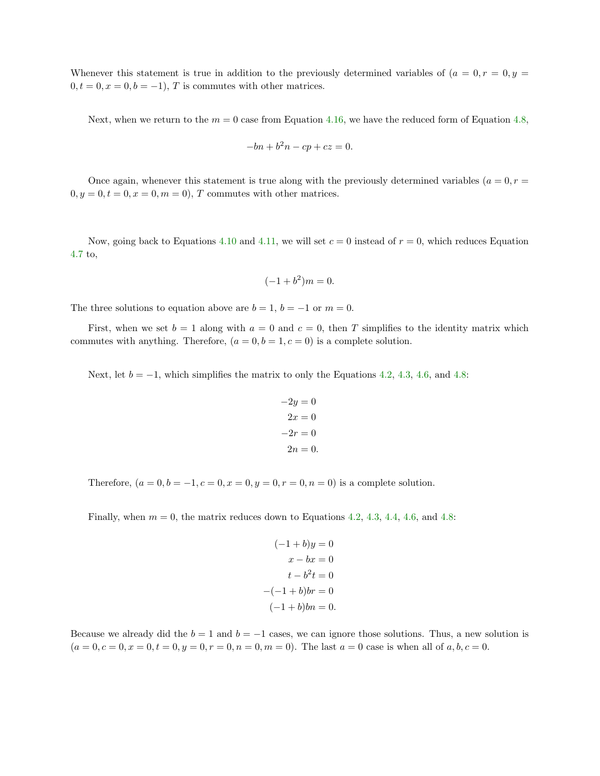Whenever this statement is true in addition to the previously determined variables of  $(a = 0, r = 0, y = 1)$  $0, t = 0, x = 0, b = -1$ , T is commutes with other matrices.

Next, when we return to the  $m = 0$  case from Equation [4.16,](#page-16-3) we have the reduced form of Equation [4.8,](#page-15-6)

$$
-bn + b^2n - cp + cz = 0.
$$

Once again, whenever this statement is true along with the previously determined variables  $(a = 0, r = 0)$  $0, y = 0, t = 0, x = 0, m = 0$ , T commutes with other matrices.

Now, going back to Equations [4.10](#page-16-0) and [4.11,](#page-16-1) we will set  $c = 0$  instead of  $r = 0$ , which reduces Equation [4.7](#page-15-5) to,

$$
(-1+b^2)m = 0.
$$

The three solutions to equation above are  $b = 1$ ,  $b = -1$  or  $m = 0$ .

First, when we set  $b = 1$  along with  $a = 0$  and  $c = 0$ , then T simplifies to the identity matrix which commutes with anything. Therefore,  $(a = 0, b = 1, c = 0)$  is a complete solution.

Next, let  $b = -1$ , which simplifies the matrix to only the Equations [4.2,](#page-15-3) [4.3,](#page-15-4) [4.6,](#page-15-8) and [4.8:](#page-15-6)

$$
-2y = 0
$$

$$
2x = 0
$$

$$
-2r = 0
$$

$$
2n = 0.
$$

Therefore,  $(a = 0, b = -1, c = 0, x = 0, y = 0, r = 0, n = 0)$  is a complete solution.

Finally, when  $m = 0$ , the matrix reduces down to Equations [4.2,](#page-15-3) [4.3,](#page-15-4) [4.4,](#page-15-7) [4.6,](#page-15-8) and [4.8:](#page-15-6)

$$
(-1 + b)y = 0
$$

$$
x - bx = 0
$$

$$
t - b2t = 0
$$

$$
-(-1 + b)br = 0
$$

$$
(-1 + b)bn = 0.
$$

Because we already did the  $b = 1$  and  $b = -1$  cases, we can ignore those solutions. Thus, a new solution is  $(a = 0, c = 0, x = 0, t = 0, y = 0, r = 0, n = 0, m = 0)$ . The last  $a = 0$  case is when all of  $a, b, c = 0$ .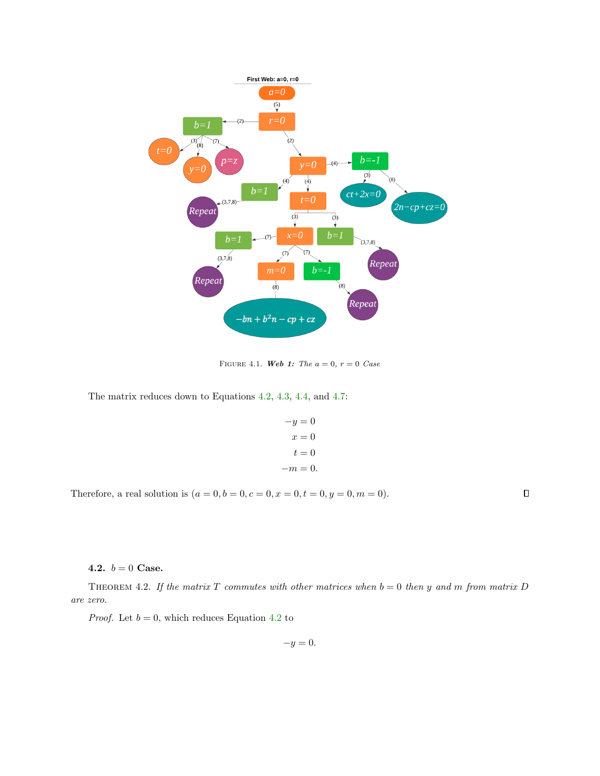

FIGURE 4.1. Web 1: The  $a = 0$ ,  $r = 0$  Case

The matrix reduces down to Equations [4.2,](#page-15-3) [4.3,](#page-15-4) [4.4,](#page-15-7) and [4.7:](#page-15-5)

$$
-y = 0
$$

$$
x = 0
$$

$$
t = 0
$$

$$
-m = 0.
$$

Therefore, a real solution is  $(a = 0, b = 0, c = 0, x = 0, t = 0, y = 0, m = 0)$ .

 $\Box$ 

<span id="page-18-0"></span>4.2.  $b = 0$  Case.

THEOREM 4.2. If the matrix T commutes with other matrices when  $b = 0$  then y and m from matrix D are zero.

*Proof.* Let  $b = 0$ , which reduces Equation [4.2](#page-15-3) to

$$
-y=0.
$$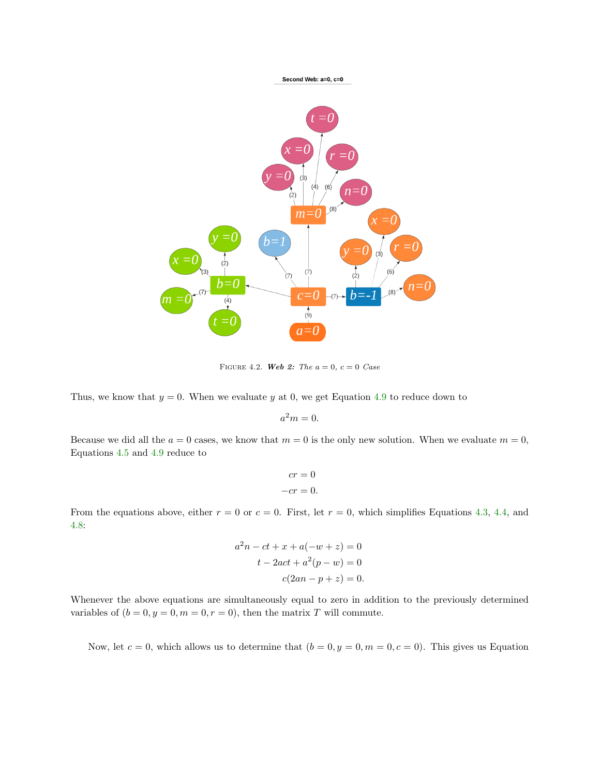

FIGURE 4.2. Web 2: The  $a = 0$ ,  $c = 0$  Case

Thus, we know that  $y = 0$ . When we evaluate y at 0, we get Equation [4.9](#page-15-2) to reduce down to

$$
a^2m=0.
$$

Because we did all the  $a = 0$  cases, we know that  $m = 0$  is the only new solution. When we evaluate  $m = 0$ , Equations [4.5](#page-15-1) and [4.9](#page-15-2) reduce to

$$
cr = 0
$$

$$
-cr = 0.
$$

From the equations above, either  $r = 0$  or  $c = 0$ . First, let  $r = 0$ , which simplifies Equations [4.3,](#page-15-4) [4.4,](#page-15-7) and [4.8:](#page-15-6)

$$
a2n - ct + x + a(-w + z) = 0
$$

$$
t - 2act + a2(p - w) = 0
$$

$$
c(2an - p + z) = 0.
$$

Whenever the above equations are simultaneously equal to zero in addition to the previously determined variables of  $(b = 0, y = 0, m = 0, r = 0)$ , then the matrix T will commute.

Now, let  $c = 0$ , which allows us to determine that  $(b = 0, y = 0, m = 0, c = 0)$ . This gives us Equation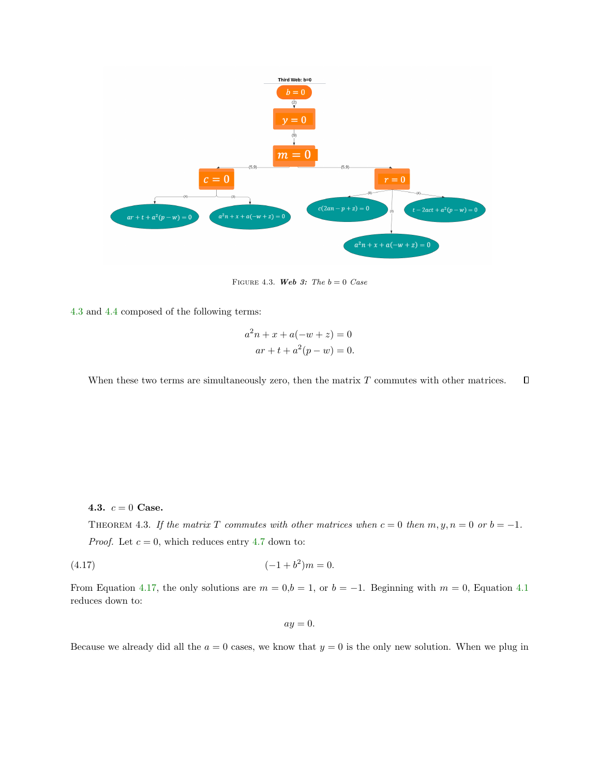

FIGURE 4.3. Web 3: The  $b = 0$  Case

[4.3](#page-15-4) and [4.4](#page-15-7) composed of the following terms:

$$
a2n + x + a(-w + z) = 0
$$
  
ar + t + a<sup>2</sup>(p - w) = 0.

 $\Box$ When these two terms are simultaneously zero, then the matrix  $T$  commutes with other matrices.

<span id="page-20-0"></span>4.3.  $c = 0$  Case.

THEOREM 4.3. If the matrix T commutes with other matrices when  $c = 0$  then  $m, y, n = 0$  or  $b = -1$ . *Proof.* Let  $c = 0$ , which reduces entry [4.7](#page-15-5) down to:

<span id="page-20-1"></span>
$$
(4.17) \t\t (-1+b^2)m = 0.
$$

From Equation [4.17,](#page-20-1) the only solutions are  $m = 0,b = 1$ , or  $b = -1$ . Beginning with  $m = 0$ , Equation [4.1](#page-15-9) reduces down to:

 $ay = 0.$ 

Because we already did all the  $a = 0$  cases, we know that  $y = 0$  is the only new solution. When we plug in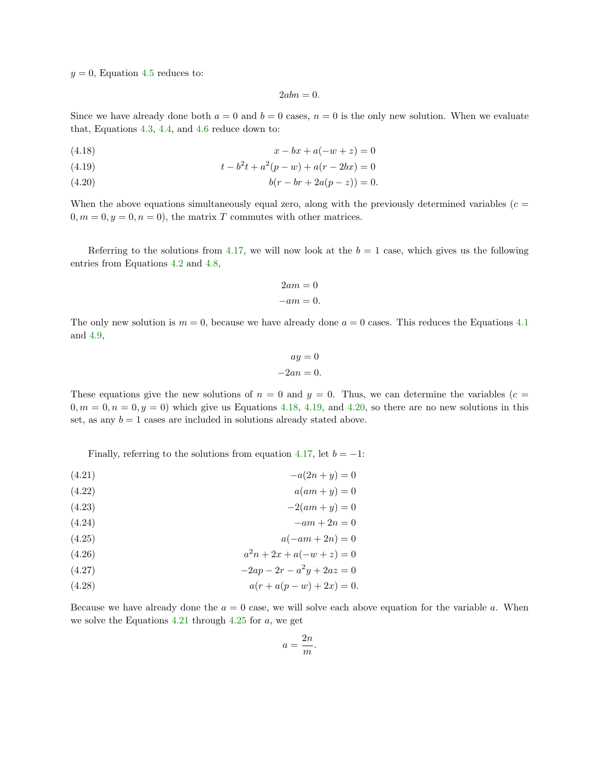$y = 0$ , Equation [4.5](#page-15-1) reduces to:

 $2abn = 0.$ 

Since we have already done both  $a = 0$  and  $b = 0$  cases,  $n = 0$  is the only new solution. When we evaluate that, Equations [4.3,](#page-15-4) [4.4,](#page-15-7) and [4.6](#page-15-8) reduce down to:

<span id="page-21-1"></span><span id="page-21-0"></span>
$$
(4.18) \t\t x - bx + a(-w + z) = 0
$$

<span id="page-21-2"></span>(4.19) 
$$
t - b^2t + a^2(p - w) + a(r - 2bx) = 0
$$

$$
(4.20) \t\t\t b(r - br + 2a(p - z)) = 0.
$$

When the above equations simultaneously equal zero, along with the previously determined variables ( $c =$  $0, m = 0, y = 0, n = 0$ , the matrix T commutes with other matrices.

Referring to the solutions from [4.17,](#page-20-1) we will now look at the  $b = 1$  case, which gives us the following entries from Equations [4.2](#page-15-3) and [4.8,](#page-15-6)

$$
2am = 0
$$
  

$$
-am = 0.
$$

The only new solution is  $m = 0$ , because we have already done  $a = 0$  cases. This reduces the Equations [4.1](#page-15-9) and [4.9,](#page-15-2)

$$
ay = 0
$$
  

$$
-2an = 0.
$$

These equations give the new solutions of  $n = 0$  and  $y = 0$ . Thus, we can determine the variables (c =  $0, m = 0, n = 0, y = 0$ ) which give us Equations [4.18,](#page-21-0) [4.19,](#page-21-1) and [4.20,](#page-21-2) so there are no new solutions in this set, as any  $b = 1$  cases are included in solutions already stated above.

Finally, referring to the solutions from equation [4.17,](#page-20-1) let  $b = -1$ :

<span id="page-21-3"></span> $-(4.21)$   $-a(2n + y) = 0$ 

$$
(4.22) \t\t a(am+y)=0
$$

$$
(4.23)\t\t -2(am+y)=0
$$

<span id="page-21-4"></span>
$$
(4.24) \t\t -am + 2n = 0
$$

<span id="page-21-5"></span>
$$
(4.25) \qquad \qquad a(-am+2n) = 0
$$

$$
(4.26) \t\t a2n + 2x + a(-w + z) = 0
$$

<span id="page-21-7"></span><span id="page-21-6"></span>
$$
(4.27) \t\t -2ap - 2r - a^2y + 2az = 0
$$

$$
(4.28) \t\t a(r + a(p - w) + 2x) = 0.
$$

Because we have already done the  $a = 0$  case, we will solve each above equation for the variable a. When we solve the Equations [4.21](#page-21-3) through [4.25](#page-21-4) for  $a$ , we get

$$
a = \frac{2n}{m}.
$$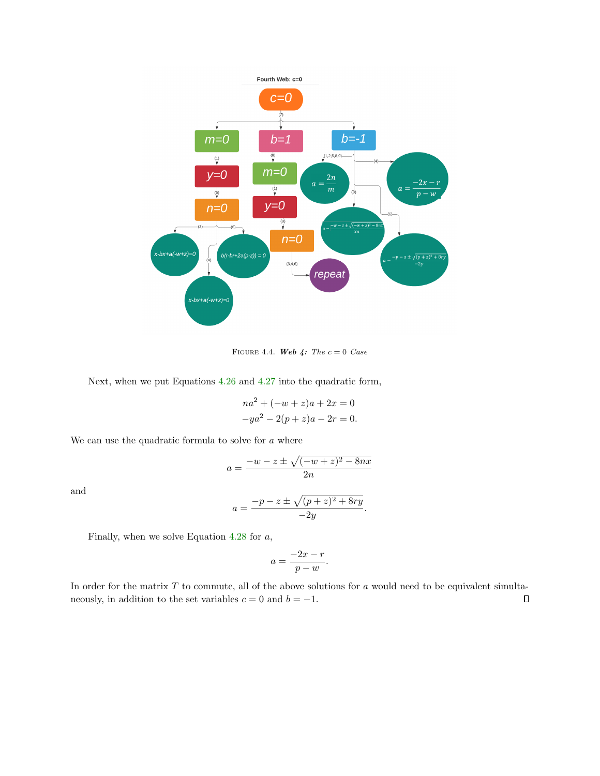

FIGURE 4.4. Web 4: The  $c = 0$  Case

Next, when we put Equations [4.26](#page-21-5) and [4.27](#page-21-6) into the quadratic form,

$$
na2 + (-w + z)a + 2x = 0
$$
  

$$
-ya2 - 2(p + z)a - 2r = 0.
$$

We can use the quadratic formula to solve for  $\boldsymbol{a}$  where

$$
a = \frac{-w - z \pm \sqrt{(-w + z)^2 - 8nx}}{2n}
$$

$$
a = \frac{-p - z \pm \sqrt{(p + z)^2 + 8ry}}{2n}.
$$

and

$$
a = \frac{-p - z \pm \sqrt{(p + z)^2 + 8r}}{-2y}
$$

Finally, when we solve Equation [4.28](#page-21-7) for  $a$ ,

$$
a = \frac{-2x - r}{p - w}.
$$

In order for the matrix  $T$  to commute, all of the above solutions for  $a$  would need to be equivalent simultaneously, in addition to the set variables  $c = 0$  and  $b = -1$ .  $\Box$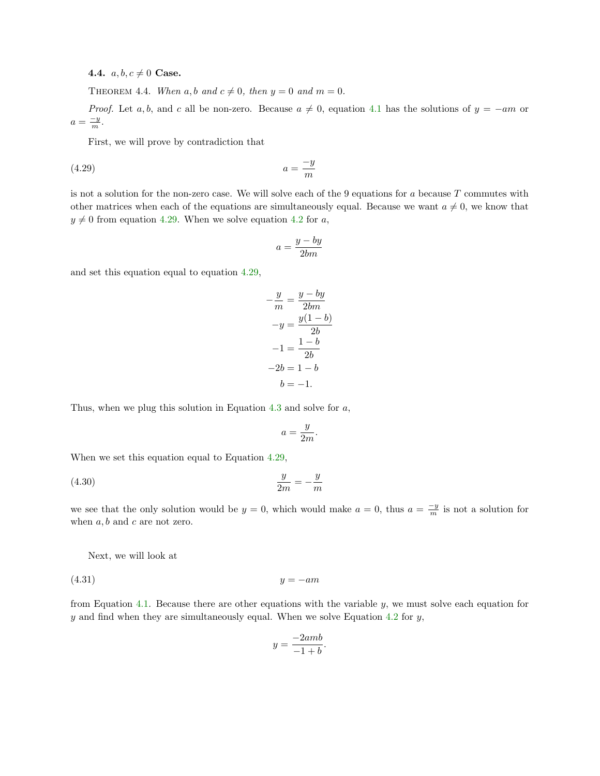4.4.  $a, b, c \neq 0$  Case.

THEOREM 4.4. When a, b and  $c \neq 0$ , then  $y = 0$  and  $m = 0$ .

*Proof.* Let a, b, and c all be non-zero. Because  $a \neq 0$ , equation [4.1](#page-15-9) has the solutions of  $y = -am$  or  $a=\frac{-y}{m}.$ 

First, we will prove by contradiction that

<span id="page-23-0"></span>
$$
(4.29) \t\t a = \frac{-y}{m}
$$

is not a solution for the non-zero case. We will solve each of the 9 equations for a because  $T$  commutes with other matrices when each of the equations are simultaneously equal. Because we want  $a \neq 0$ , we know that  $y \neq 0$  from equation [4.29.](#page-23-0) When we solve equation [4.2](#page-15-3) for a,

$$
a=\frac{y-by}{2bm}
$$

and set this equation equal to equation [4.29,](#page-23-0)

$$
-\frac{y}{m} = \frac{y - by}{2bm}
$$

$$
-y = \frac{y(1 - b)}{2b}
$$

$$
-1 = \frac{1 - b}{2b}
$$

$$
-2b = 1 - b
$$

$$
b = -1.
$$

Thus, when we plug this solution in Equation [4.3](#page-15-4) and solve for a,

$$
a = \frac{y}{2m}.
$$

When we set this equation equal to Equation [4.29,](#page-23-0)

$$
\frac{y}{2m} = -\frac{y}{m}
$$

we see that the only solution would be  $y = 0$ , which would make  $a = 0$ , thus  $a = \frac{-y}{m}$  is not a solution for when  $a, b$  and  $c$  are not zero.

Next, we will look at

<span id="page-23-1"></span> $(4.31)$   $y = -am$ 

from Equation [4.1.](#page-15-9) Because there are other equations with the variable y, we must solve each equation for  $y$  and find when they are simultaneously equal. When we solve Equation [4.2](#page-15-3) for  $y$ ,

$$
y = \frac{-2amb}{-1 + b}.
$$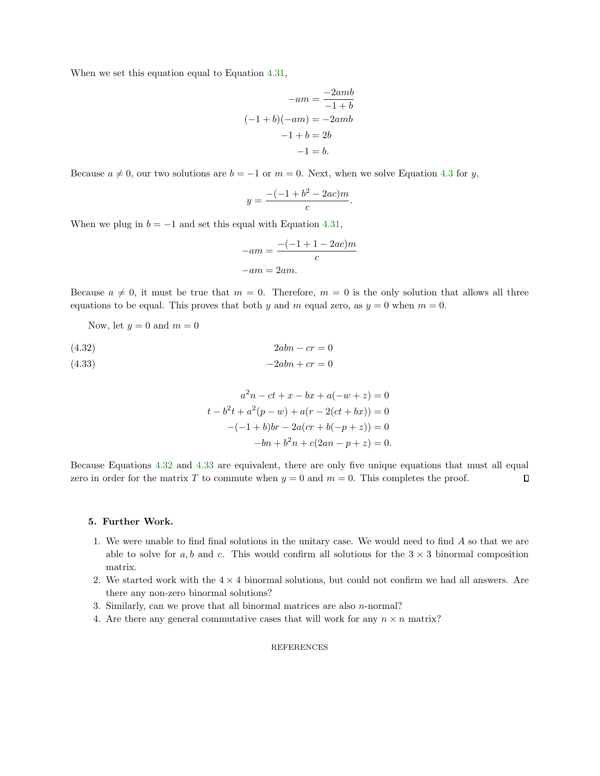When we set this equation equal to Equation [4.31,](#page-23-1)

$$
-am = \frac{-2amb}{-1+b}
$$

$$
(-1+b)(-am) = -2amb
$$

$$
-1+b = 2b
$$

$$
-1 = b.
$$

Because  $a \neq 0$ , our two solutions are  $b = -1$  or  $m = 0$ . Next, when we solve Equation [4.3](#page-15-4) for y,

$$
y = \frac{-(-1 + b^2 - 2ac)m}{c}.
$$

When we plug in  $b = -1$  and set this equal with Equation [4.31,](#page-23-1)

$$
-am = \frac{-(-1+1-2ac)m}{c}
$$

$$
-am = 2am.
$$

Because  $a \neq 0$ , it must be true that  $m = 0$ . Therefore,  $m = 0$  is the only solution that allows all three equations to be equal. This proves that both y and m equal zero, as  $y = 0$  when  $m = 0$ .

Now, let  $y = 0$  and  $m = 0$ 

<span id="page-24-1"></span><span id="page-24-0"></span>
$$
\begin{aligned}\n(4.32) & 2abn - cr = 0 \\
(4.33) & -2abn + cr = 0\n\end{aligned}
$$

$$
a^{2}n - ct + x - bx + a(-w + z) = 0
$$
  
\n
$$
t - b^{2}t + a^{2}(p - w) + a(r - 2(ct + bx)) = 0
$$
  
\n
$$
-(-1 + b)br - 2a (cr + b(-p + z)) = 0
$$
  
\n
$$
-bn + b^{2}n + c(2an - p + z) = 0.
$$

Because Equations [4.32](#page-24-0) and [4.33](#page-24-1) are equivalent, there are only five unique equations that must all equal zero in order for the matrix T to commute when  $y = 0$  and  $m = 0$ . This completes the proof.  $\Box$ 

#### 5. Further Work.

- 1. We were unable to find final solutions in the unitary case. We would need to find A so that we are able to solve for  $a, b$  and  $c$ . This would confirm all solutions for the  $3 \times 3$  binormal composition matrix.
- 2. We started work with the  $4 \times 4$  binormal solutions, but could not confirm we had all answers. Are there any non-zero binormal solutions?
- 3. Similarly, can we prove that all binormal matrices are also  $n$ -normal?
- 4. Are there any general commutative cases that will work for any  $n \times n$  matrix?

#### REFERENCES